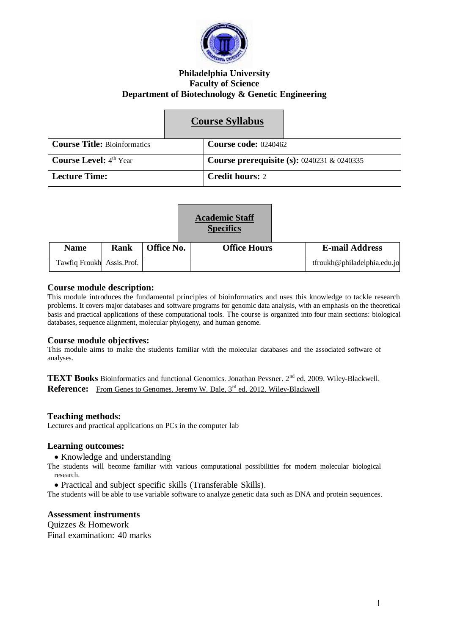

## **Philadelphia University Faculty of Science Department of Biotechnology & Genetic Engineering**

|                                           | <b>Course Syllabus</b>                        |
|-------------------------------------------|-----------------------------------------------|
| <b>Course Title: Bioinformatics</b>       | <b>Course code: 0240462</b>                   |
| <b>Course Level:</b> $4^{\text{th}}$ Year | Course prerequisite (s): $0240231 \& 0240335$ |
| <b>Lecture Time:</b>                      | <b>Credit hours: 2</b>                        |

| <b>Academic Staff</b> |  |  |  |
|-----------------------|--|--|--|
| <b>Specifics</b>      |  |  |  |

| <b>Name</b>                | Rank | Office No. | <b>Office Hours</b> | <b>E-mail Address</b>       |
|----------------------------|------|------------|---------------------|-----------------------------|
| Tawfiq Froukh Assis. Prof. |      |            |                     | tfroukh@philadelphia.edu.jo |

## **Course module description:**

This module introduces the fundamental principles of bioinformatics and uses this knowledge to tackle research problems. It covers major databases and software programs for genomic data analysis, with an emphasis on the theoretical basis and practical applications of these computational tools. The course is organized into four main sections: biological databases, sequence alignment, molecular phylogeny, and human genome.

## **Course module objectives:**

This module aims to make the students familiar with the molecular databases and the associated software of analyses.

TEXT Books Bioinformatics and functional Genomics. Jonathan Pevsner. 2<sup>nd</sup> ed. 2009. Wiley-Blackwell. Reference: From Genes to Genomes. Jeremy W. Dale, 3<sup>rd</sup> ed. 2012. Wiley-Blackwell

## **Teaching methods:**

Lectures and practical applications on PCs in the computer lab

## **Learning outcomes:**

• Knowledge and understanding

The students will become familiar with various computational possibilities for modern molecular biological research.

Practical and subject specific skills (Transferable Skills).

The students will be able to use variable software to analyze genetic data such as DNA and protein sequences.

## **Assessment instruments**

Quizzes & Homework Final examination: 40 marks